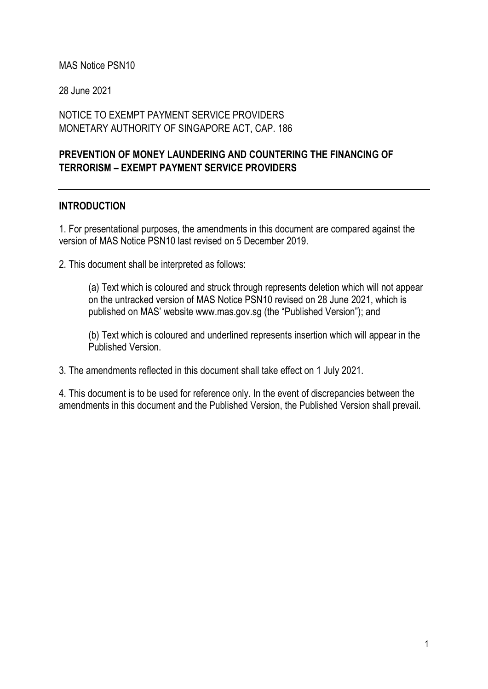#### MAS Notice PSN10

28 June 2021

### NOTICE TO EXEMPT PAYMENT SERVICE PROVIDERS MONETARY AUTHORITY OF SINGAPORE ACT, CAP. 186

## PREVENTION OF MONEY LAUNDERING AND COUNTERING THE FINANCING OF TERRORISM – EXEMPT PAYMENT SERVICE PROVIDERS

#### INTRODUCTION

1. For presentational purposes, the amendments in this document are compared against the version of MAS Notice PSN10 last revised on 5 December 2019.

2. This document shall be interpreted as follows:

(a) Text which is coloured and struck through represents deletion which will not appear on the untracked version of MAS Notice PSN10 revised on 28 June 2021, which is published on MAS' website www.mas.gov.sg (the "Published Version"); and

(b) Text which is coloured and underlined represents insertion which will appear in the Published Version.

3. The amendments reflected in this document shall take effect on 1 July 2021.

4. This document is to be used for reference only. In the event of discrepancies between the amendments in this document and the Published Version, the Published Version shall prevail.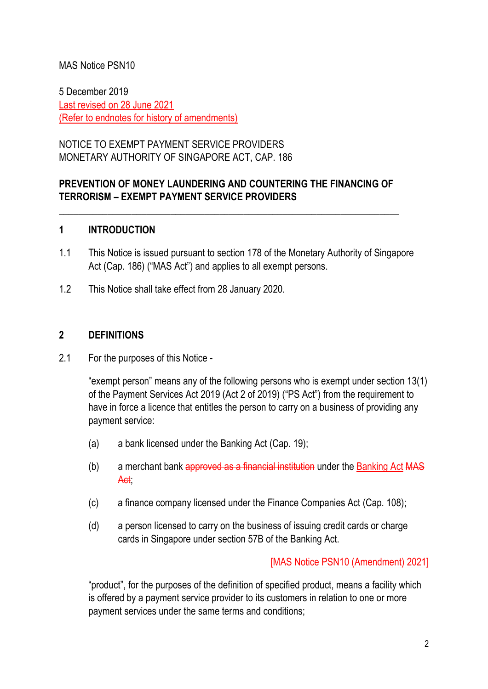## MAS Notice PSN10

5 December 2019 Last revised on 28 June 2021 (Refer to endnotes for history of amendments)

NOTICE TO EXEMPT PAYMENT SERVICE PROVIDERS MONETARY AUTHORITY OF SINGAPORE ACT, CAP. 186

## PREVENTION OF MONEY LAUNDERING AND COUNTERING THE FINANCING OF TERRORISM – EXEMPT PAYMENT SERVICE PROVIDERS

\_\_\_\_\_\_\_\_\_\_\_\_\_\_\_\_\_\_\_\_\_\_\_\_\_\_\_\_\_\_\_\_\_\_\_\_\_\_\_\_\_\_\_\_\_\_\_\_\_\_\_\_\_\_\_\_\_\_\_\_\_\_\_\_\_\_\_\_\_\_

#### 1 INTRODUCTION

- 1.1 This Notice is issued pursuant to section 178 of the Monetary Authority of Singapore Act (Cap. 186) ("MAS Act") and applies to all exempt persons.
- 1.2 This Notice shall take effect from 28 January 2020.

#### 2 DEFINITIONS

2.1 For the purposes of this Notice -

"exempt person" means any of the following persons who is exempt under section 13(1) of the Payment Services Act 2019 (Act 2 of 2019) ("PS Act") from the requirement to have in force a licence that entitles the person to carry on a business of providing any payment service:

- (a) a bank licensed under the Banking Act (Cap. 19);
- (b) a merchant bank approved as a financial institution under the Banking Act MAS Act;
- (c) a finance company licensed under the Finance Companies Act (Cap. 108);
- (d) a person licensed to carry on the business of issuing credit cards or charge cards in Singapore under section 57B of the Banking Act.

[MAS Notice PSN10 (Amendment) 2021]

"product", for the purposes of the definition of specified product, means a facility which is offered by a payment service provider to its customers in relation to one or more payment services under the same terms and conditions;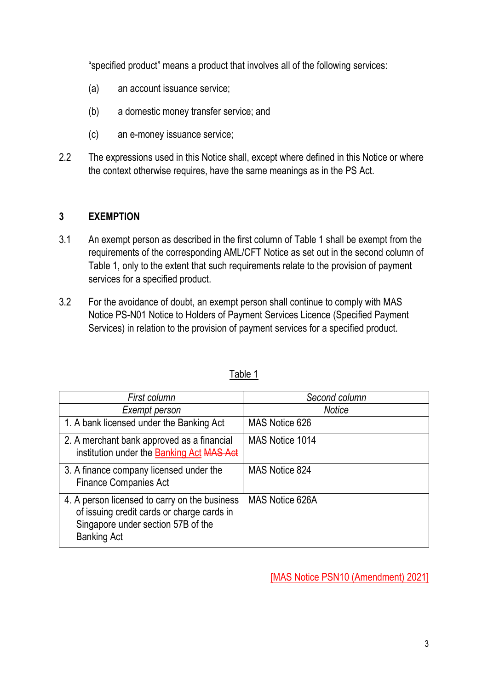"specified product" means a product that involves all of the following services:

- (a) an account issuance service;
- (b) a domestic money transfer service; and
- (c) an e-money issuance service;
- 2.2 The expressions used in this Notice shall, except where defined in this Notice or where the context otherwise requires, have the same meanings as in the PS Act.

# 3 EXEMPTION

- 3.1 An exempt person as described in the first column of Table 1 shall be exempt from the requirements of the corresponding AML/CFT Notice as set out in the second column of Table 1, only to the extent that such requirements relate to the provision of payment services for a specified product.
- 3.2 For the avoidance of doubt, an exempt person shall continue to comply with MAS Notice PS-N01 Notice to Holders of Payment Services Licence (Specified Payment Services) in relation to the provision of payment services for a specified product.

| First column                                                                                                                                            | Second column   |
|---------------------------------------------------------------------------------------------------------------------------------------------------------|-----------------|
| Exempt person                                                                                                                                           | <b>Notice</b>   |
| 1. A bank licensed under the Banking Act                                                                                                                | MAS Notice 626  |
| 2. A merchant bank approved as a financial<br>institution under the Banking Act MAS Act                                                                 | MAS Notice 1014 |
| 3. A finance company licensed under the<br><b>Finance Companies Act</b>                                                                                 | MAS Notice 824  |
| 4. A person licensed to carry on the business<br>of issuing credit cards or charge cards in<br>Singapore under section 57B of the<br><b>Banking Act</b> | MAS Notice 626A |

## Table 1

[MAS Notice PSN10 (Amendment) 2021]